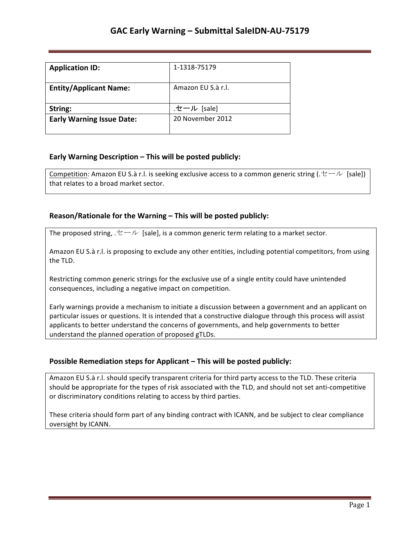| <b>Application ID:</b>           | 1-1318-75179       |
|----------------------------------|--------------------|
| <b>Entity/Applicant Name:</b>    | Amazon EU S.à r.l. |
| String:                          | .セール [sale]        |
| <b>Early Warning Issue Date:</b> | 20 November 2012   |

## **Early Warning Description – This will be posted publicly:**

Competition: Amazon EU S.à r.l. is seeking exclusive access to a common generic string  $(\cdot \forall -\nu \mathbb{S}$  [sale]) that relates to a broad market sector.

## **Reason/Rationale for the Warning – This will be posted publicly:**

The proposed string,  $\pm \rightarrow \nu$  [sale], is a common generic term relating to a market sector.

Amazon EU S.à r.l. is proposing to exclude any other entities, including potential competitors, from using the TLD.

Restricting common generic strings for the exclusive use of a single entity could have unintended consequences, including a negative impact on competition.

Early warnings provide a mechanism to initiate a discussion between a government and an applicant on particular issues or questions. It is intended that a constructive dialogue through this process will assist applicants to better understand the concerns of governments, and help governments to better understand the planned operation of proposed gTLDs.

### **Possible Remediation steps for Applicant – This will be posted publicly:**

Amazon EU S.à r.l. should specify transparent criteria for third party access to the TLD. These criteria should be appropriate for the types of risk associated with the TLD, and should not set anti-competitive or discriminatory conditions relating to access by third parties.

These criteria should form part of any binding contract with ICANN, and be subject to clear compliance oversight by ICANN.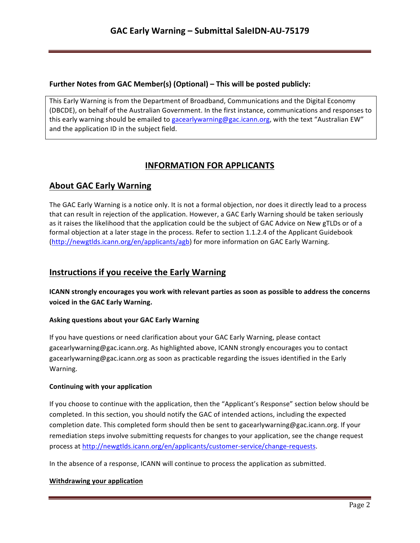## **Further Notes from GAC Member(s) (Optional) – This will be posted publicly:**

This Early Warning is from the Department of Broadband, Communications and the Digital Economy (DBCDE), on behalf of the Australian Government. In the first instance, communications and responses to this early warning should be emailed to gacearlywarning@gac.icann.org, with the text "Australian EW" and the application ID in the subject field.

# **INFORMATION FOR APPLICANTS**

## **About GAC Early Warning**

The GAC Early Warning is a notice only. It is not a formal objection, nor does it directly lead to a process that can result in rejection of the application. However, a GAC Early Warning should be taken seriously as it raises the likelihood that the application could be the subject of GAC Advice on New gTLDs or of a formal objection at a later stage in the process. Refer to section 1.1.2.4 of the Applicant Guidebook (http://newgtlds.icann.org/en/applicants/agb) for more information on GAC Early Warning.

## **Instructions if you receive the Early Warning**

**ICANN** strongly encourages you work with relevant parties as soon as possible to address the concerns voiced in the GAC Early Warning.

### **Asking questions about your GAC Early Warning**

If you have questions or need clarification about your GAC Early Warning, please contact gacearlywarning@gac.icann.org. As highlighted above, ICANN strongly encourages you to contact gacearlywarning@gac.icann.org as soon as practicable regarding the issues identified in the Early Warning. 

### **Continuing with your application**

If you choose to continue with the application, then the "Applicant's Response" section below should be completed. In this section, you should notify the GAC of intended actions, including the expected completion date. This completed form should then be sent to gacearlywarning@gac.icann.org. If your remediation steps involve submitting requests for changes to your application, see the change request process at http://newgtlds.icann.org/en/applicants/customer-service/change-requests.

In the absence of a response, ICANN will continue to process the application as submitted.

### **Withdrawing your application**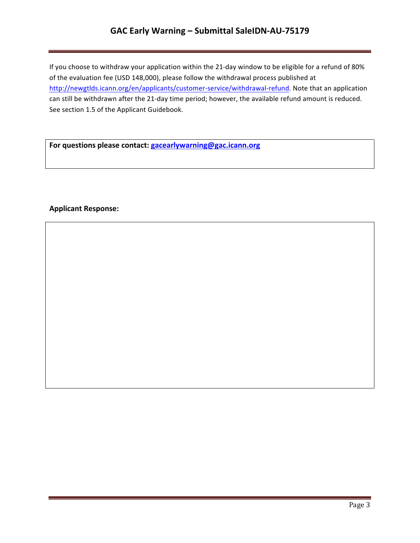# **GAC Early Warning – Submittal SaleIDN-AU-75179**

If you choose to withdraw your application within the 21-day window to be eligible for a refund of 80% of the evaluation fee (USD 148,000), please follow the withdrawal process published at http://newgtlds.icann.org/en/applicants/customer-service/withdrawal-refund. Note that an application can still be withdrawn after the 21-day time period; however, the available refund amount is reduced. See section 1.5 of the Applicant Guidebook.

For questions please contact: **gacearlywarning@gac.icann.org** 

### **Applicant Response:**